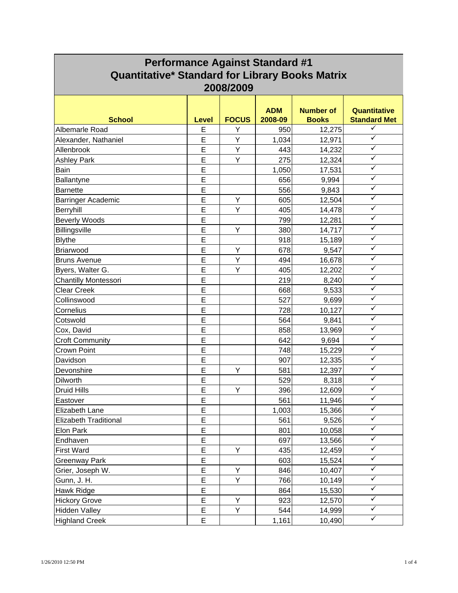| <b>Performance Against Standard #1</b><br><b>Quantitative* Standard for Library Books Matrix</b> |       |              |                       |                                  |                                     |
|--------------------------------------------------------------------------------------------------|-------|--------------|-----------------------|----------------------------------|-------------------------------------|
|                                                                                                  |       | 2008/2009    |                       |                                  |                                     |
| <b>School</b>                                                                                    | Level | <b>FOCUS</b> | <b>ADM</b><br>2008-09 | <b>Number of</b><br><b>Books</b> | Quantitative<br><b>Standard Met</b> |
| Albemarle Road                                                                                   | E     | Y            | 950                   | 12,275                           | ✓                                   |
| Alexander, Nathaniel                                                                             | E     | Y            | 1,034                 | 12,971                           | $\checkmark$                        |
| Allenbrook                                                                                       | E     | Υ            | 443                   | 14,232                           | $\checkmark$                        |
| <b>Ashley Park</b>                                                                               | E     | Y            | 275                   | 12,324                           | ✓                                   |
| Bain                                                                                             | E     |              | 1,050                 | 17,531                           | $\checkmark$                        |
| Ballantyne                                                                                       | E     |              | 656                   | 9,994                            | $\checkmark$                        |
| <b>Barnette</b>                                                                                  | E     |              | 556                   | 9,843                            | $\checkmark$                        |
| Barringer Academic                                                                               | E     | Y            | 605                   | 12,504                           | ✓                                   |
| Berryhill                                                                                        | E     | Y            | 405                   | 14,478                           | ✓                                   |
| <b>Beverly Woods</b>                                                                             | E     |              | 799                   | 12,281                           | $\checkmark$                        |
| Billingsville                                                                                    | E     | Y            | 380                   | 14,717                           | $\checkmark$                        |
| <b>Blythe</b>                                                                                    | E     |              | 918                   | 15,189                           | $\checkmark$                        |
| Briarwood                                                                                        | E     | Υ            | 678                   | 9,547                            | ✓                                   |
| <b>Bruns Avenue</b>                                                                              | E     | Υ            | 494                   | 16,678                           | $\checkmark$                        |
| Byers, Walter G.                                                                                 | E     | Y            | 405                   | 12,202                           | $\checkmark$                        |
| <b>Chantilly Montessori</b>                                                                      | E     |              | 219                   | 8,240                            | ✓                                   |
| <b>Clear Creek</b>                                                                               | E     |              | 668                   | 9,533                            | ✓                                   |
| Collinswood                                                                                      | E     |              | 527                   | 9,699                            | ✓                                   |
| Cornelius                                                                                        | E     |              | 728                   | 10,127                           | $\checkmark$                        |
| Cotswold                                                                                         | E     |              | 564                   | 9,841                            | $\checkmark$                        |
| Cox, David                                                                                       | E     |              | 858                   | 13,969                           | ✓                                   |
| <b>Croft Community</b>                                                                           | E     |              | 642                   | 9,694                            | $\checkmark$                        |
| Crown Point                                                                                      | E     |              | 748                   | 15,229                           | $\checkmark$                        |
| Davidson                                                                                         | E     |              | 907                   | 12,335                           | ✓                                   |
| Devonshire                                                                                       | E     | Y            | 581                   | 12,397                           | ✓                                   |
| Dilworth                                                                                         | E     |              | 529                   | 8,318                            | ✓                                   |
| <b>Druid Hills</b>                                                                               | E     | Y            | 396                   | 12,609                           | $\checkmark$                        |
| Eastover                                                                                         | Е     |              | 561                   | 11,946                           | $\checkmark$                        |
| Elizabeth Lane                                                                                   | E     |              | 1,003                 | 15,366                           | ✓                                   |
| <b>Elizabeth Traditional</b>                                                                     | E     |              | 561                   | 9,526                            | ✓                                   |
| Elon Park                                                                                        | E     |              | 801                   | 10,058                           | $\checkmark$                        |
| Endhaven                                                                                         | E     |              | 697                   | 13,566                           | $\checkmark$                        |
| <b>First Ward</b>                                                                                | E     | Y            | 435                   | 12,459                           | $\checkmark$                        |
| <b>Greenway Park</b>                                                                             | E     |              | 603                   | 15,524                           | $\checkmark$                        |
| Grier, Joseph W.                                                                                 | E     | Y            | 846                   | 10,407                           | $\checkmark$                        |
| Gunn, J. H.                                                                                      | E     | Υ            | 766                   | 10,149                           | $\checkmark$                        |
| Hawk Ridge                                                                                       | E     |              | 864                   | 15,530                           | $\checkmark$                        |
| <b>Hickory Grove</b>                                                                             | E     | Y            | 923                   | 12,570                           | ✓                                   |
| <b>Hidden Valley</b>                                                                             | E     | Υ            | 544                   | 14,999                           | ✓                                   |
| <b>Highland Creek</b>                                                                            | E     |              | 1,161                 | 10,490                           | $\checkmark$                        |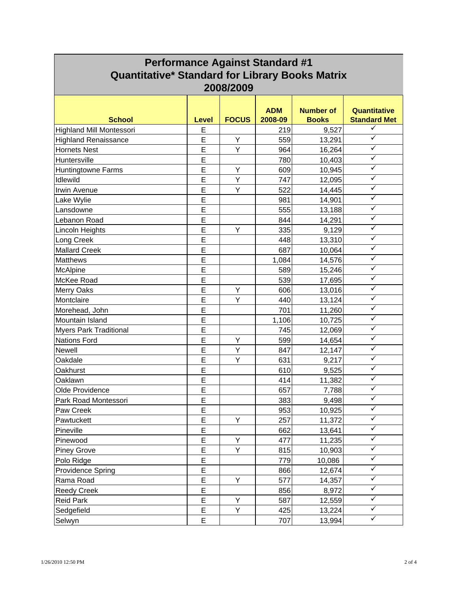| <b>Performance Against Standard #1</b><br><b>Quantitative* Standard for Library Books Matrix</b> |       |              |            |                  |                     |
|--------------------------------------------------------------------------------------------------|-------|--------------|------------|------------------|---------------------|
|                                                                                                  |       | 2008/2009    | <b>ADM</b> | <b>Number of</b> | Quantitative        |
| <b>School</b>                                                                                    | Level | <b>FOCUS</b> | 2008-09    | <b>Books</b>     | <b>Standard Met</b> |
| <b>Highland Mill Montessori</b>                                                                  | E     |              | 219        | 9,527            | ✓                   |
| <b>Highland Renaissance</b>                                                                      | E     | Υ            | 559        | 13,291           | $\checkmark$        |
| <b>Hornets Nest</b>                                                                              | E     | Υ            | 964        | 16,264           | $\checkmark$        |
| Huntersville                                                                                     | E     |              | 780        | 10,403           | ✓                   |
| <b>Huntingtowne Farms</b>                                                                        | E     | Y            | 609        | 10,945           | $\checkmark$        |
| Idlewild                                                                                         | E     | Υ            | 747        | 12,095           | $\checkmark$        |
| Irwin Avenue                                                                                     | E     | Y            | 522        | 14,445           | ✓                   |
| Lake Wylie                                                                                       | E     |              | 981        | 14,901           | ✓                   |
| Lansdowne                                                                                        | E     |              | 555        | 13,188           | ✓                   |
| Lebanon Road                                                                                     | E     |              | 844        | 14,291           | $\checkmark$        |
| Lincoln Heights                                                                                  | E     | Υ            | 335        | 9,129            | $\checkmark$        |
| Long Creek                                                                                       | E     |              | 448        | 13,310           | $\checkmark$        |
| <b>Mallard Creek</b>                                                                             | E     |              | 687        | 10,064           | ✓                   |
| <b>Matthews</b>                                                                                  | E     |              | 1,084      | 14,576           | ✓                   |
| McAlpine                                                                                         | E     |              | 589        | 15,246           | $\checkmark$        |
| McKee Road                                                                                       | E     |              | 539        | 17,695           | ✓                   |
| Merry Oaks                                                                                       | E     | Υ            | 606        | 13,016           | ✓                   |
| Montclaire                                                                                       | E     | Y            | 440        | 13,124           | $\checkmark$        |
| Morehead, John                                                                                   | E     |              | 701        | 11,260           | $\checkmark$        |
| Mountain Island                                                                                  | E     |              | 1,106      | 10,725           | $\checkmark$        |
| <b>Myers Park Traditional</b>                                                                    | E     |              | 745        | 12,069           | ✓                   |
| <b>Nations Ford</b>                                                                              | E     | Υ            | 599        | 14,654           | $\checkmark$        |
| <b>Newell</b>                                                                                    | E     | Υ            | 847        | 12,147           | $\checkmark$        |
| Oakdale                                                                                          | E     | Y            | 631        | 9,217            | $\checkmark$        |
| Oakhurst                                                                                         | E     |              | 610        | 9,525            | ✓                   |
| Oaklawn                                                                                          | E     |              | 414        | 11,382           | ✓                   |
| Olde Providence                                                                                  | E     |              | 657        | 7,788            | $\checkmark$        |
| Park Road Montessori                                                                             | Е     |              | 383        | 9,498            | $\checkmark$        |
| Paw Creek                                                                                        | Ε     |              | 953        | 10,925           | ✓                   |
| Pawtuckett                                                                                       | E     | Y            | 257        | 11,372           | ✓                   |
| Pineville                                                                                        | E     |              | 662        | 13,641           | $\checkmark$        |
| Pinewood                                                                                         | E     | Υ            | 477        | 11,235           | $\checkmark$        |
| <b>Piney Grove</b>                                                                               | E     | Υ            | 815        | 10,903           | $\checkmark$        |
| Polo Ridge                                                                                       | E     |              | 779        | 10,086           | $\checkmark$        |
| <b>Providence Spring</b>                                                                         | E     |              | 866        | 12,674           | $\checkmark$        |
| Rama Road                                                                                        | E     | Υ            | 577        | 14,357           | $\checkmark$        |
| <b>Reedy Creek</b>                                                                               | E     |              | 856        | 8,972            | $\checkmark$        |
| <b>Reid Park</b>                                                                                 | E     | Υ            | 587        | 12,559           | ✓                   |
| Sedgefield                                                                                       | E     | Υ            | 425        | 13,224           | ✓                   |
| Selwyn                                                                                           | Е     |              | 707        | 13,994           | $\checkmark$        |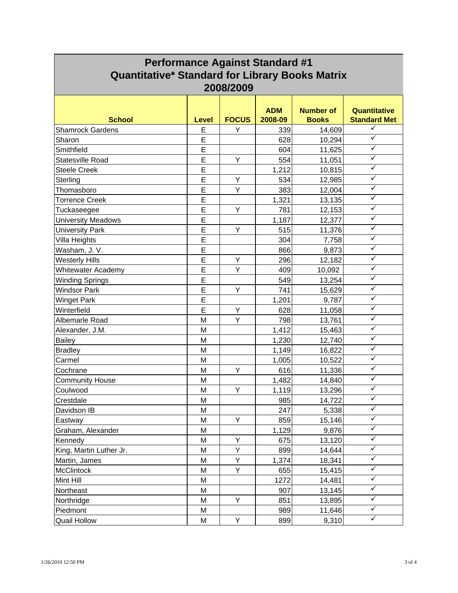| <b>Performance Against Standard #1</b><br><b>Quantitative* Standard for Library Books Matrix</b> |              |              |                       |                                  |                                     |
|--------------------------------------------------------------------------------------------------|--------------|--------------|-----------------------|----------------------------------|-------------------------------------|
| 2008/2009                                                                                        |              |              |                       |                                  |                                     |
| <b>School</b>                                                                                    | <b>Level</b> | <b>FOCUS</b> | <b>ADM</b><br>2008-09 | <b>Number of</b><br><b>Books</b> | Quantitative<br><b>Standard Met</b> |
| <b>Shamrock Gardens</b>                                                                          | E            | Υ            | 339                   | 14,609                           | $\checkmark$                        |
| Sharon                                                                                           | E            |              | 628                   | 10,294                           | $\checkmark$                        |
| Smithfield                                                                                       | E            |              | 604                   | 11,625                           | $\checkmark$                        |
| Statesville Road                                                                                 | E            | Υ            | 554                   | 11,051                           | ✓                                   |
| <b>Steele Creek</b>                                                                              | E            |              | 1,212                 | 10,815                           | $\checkmark$                        |
| Sterling                                                                                         | E            | Υ            | 534                   | 12,985                           | $\checkmark$                        |
| Thomasboro                                                                                       | E            | Y            | 383                   | 12,004                           | $\checkmark$                        |
| <b>Torrence Creek</b>                                                                            | E            |              | 1,321                 | 13,135                           | ✓                                   |
| Tuckaseegee                                                                                      | E            | Y            | 781                   | 12,153                           | ✓                                   |
| <b>University Meadows</b>                                                                        | E            |              | 1,187                 | 12,377                           | $\checkmark$                        |
| <b>University Park</b>                                                                           | E            | Υ            | 515                   | 11,376                           | $\checkmark$                        |
| Villa Heights                                                                                    | E            |              | 304                   | 7,758                            | $\checkmark$                        |
| Washam, J. V.                                                                                    | E            |              | 866                   | 9,873                            | ✓                                   |
| <b>Westerly Hills</b>                                                                            | E            | Υ            | 296                   | 12,182                           | $\checkmark$                        |
| Whitewater Academy                                                                               | E            | Ÿ            | 409                   | 10,092                           | ✓                                   |
| <b>Winding Springs</b>                                                                           | E            |              | 549                   | 13,254                           | ✓                                   |
| <b>Windsor Park</b>                                                                              | E            | Y            | 741                   | 15,629                           | ✓                                   |
| <b>Winget Park</b>                                                                               | E            |              | 1,201                 | 9,787                            | ✓                                   |
| Winterfield                                                                                      | E            | Y            | 628                   | 11,058                           | $\checkmark$                        |
| Albemarle Road                                                                                   | M            | Y            | 798                   | 13,761                           | $\checkmark$                        |
| Alexander, J.M.                                                                                  | M            |              | 1,412                 | 15,463                           | $\checkmark$                        |
| <b>Bailey</b>                                                                                    | M            |              | 1,230                 | 12,740                           | $\checkmark$                        |
| <b>Bradley</b>                                                                                   | M            |              | 1,149                 | 16,822                           | $\checkmark$                        |
| Carmel                                                                                           | M            |              | 1,005                 | 10,522                           | ✓                                   |
| Cochrane                                                                                         | M            | Y            | 616                   | 11,336                           | ✓                                   |
| <b>Community House</b>                                                                           | M            |              | 1,482                 | 14,840                           | ✓                                   |
| Coulwood                                                                                         | M            | Y            | 1,119                 | 13,296                           | $\checkmark$                        |
| Crestdale                                                                                        | M            |              | 985                   | 14,722                           | $\checkmark$                        |
| Davidson IB                                                                                      | M            |              | 247                   | 5,338                            | ✓                                   |
| Eastway                                                                                          | M            | Y            | 859                   | 15,146                           | ✓                                   |
| Graham, Alexander                                                                                | M            |              | 1,129                 | 9,876                            | $\checkmark$                        |
| Kennedy                                                                                          | M            | Υ            | 675                   | 13,120                           | $\checkmark$                        |
| King, Martin Luther Jr.                                                                          | M            | Υ            | 899                   | 14,644                           | $\checkmark$                        |
| Martin, James                                                                                    | M            | Υ            | 1,374                 | 18,341                           | $\checkmark$                        |
| <b>McClintock</b>                                                                                | M            | Y            | 655                   | 15,415                           | $\checkmark$                        |
| Mint Hill                                                                                        | M            |              | 1272                  | 14,481                           | $\checkmark$                        |
| Northeast                                                                                        | M            |              | 907                   | 13,145                           | $\checkmark$                        |
| Northridge                                                                                       | M            | Υ            | 851                   | 13,895                           | ✓                                   |
| Piedmont                                                                                         | M            |              | 989                   | 11,646                           | ✓                                   |
| <b>Quail Hollow</b>                                                                              | М            | Υ            | 899                   | 9,310                            | $\checkmark$                        |